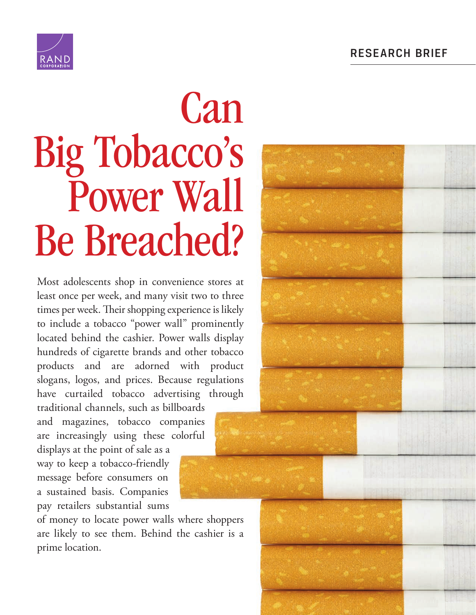

# Can [Big Tobacco's](http://www.rand.org/pubs/research_briefs/RB9879.html)  Power Wall Be Breached?

Most adolescents shop in convenience stores at least once per week, and many visit two to three times per week. Their shopping experience is likely to include a tobacco "power wall" prominently located behind the cashier. Power walls display hundreds of cigarette brands and other tobacco products and are adorned with product slogans, logos, and prices. Because regulations have curtailed tobacco advertising through traditional channels, such as billboards

and magazines, tobacco companies are increasingly using these colorful

displays at the point of sale as a way to keep a tobacco-friendly message before consumers on a sustained basis. Companies pay retailers substantial sums

of money to locate power walls where shoppers are likely to see them. Behind the cashier is a prime location.

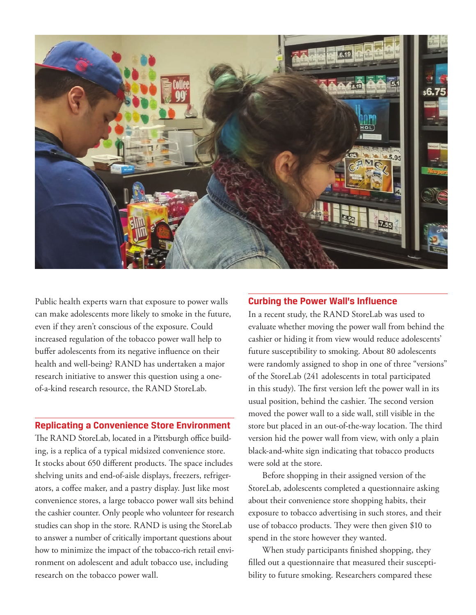

Public health experts warn that exposure to power walls can make adolescents more likely to smoke in the future, even if they aren't conscious of the exposure. Could increased regulation of the tobacco power wall help to buffer adolescents from its negative influence on their health and well-being? RAND has undertaken a major research initiative to answer this question using a oneof-a-kind research resource, the RAND StoreLab.

#### **Replicating a Convenience Store Environment**

The RAND StoreLab, located in a Pittsburgh office building, is a replica of a typical midsized convenience store. It stocks about 650 different products. The space includes shelving units and end-of-aisle displays, freezers, refrigerators, a coffee maker, and a pastry display. Just like most convenience stores, a large tobacco power wall sits behind the cashier counter. Only people who volunteer for research studies can shop in the store. RAND is using the StoreLab to answer a number of critically important questions about how to minimize the impact of the tobacco-rich retail environment on adolescent and adult tobacco use, including research on the tobacco power wall.

#### **Curbing the Power Wall's Influence**

In a recent study, the RAND StoreLab was used to evaluate whether moving the power wall from behind the cashier or hiding it from view would reduce adolescents' future susceptibility to smoking. About 80 adolescents were randomly assigned to shop in one of three "versions" of the StoreLab (241 adolescents in total participated in this study). The first version left the power wall in its usual position, behind the cashier. The second version moved the power wall to a side wall, still visible in the store but placed in an out-of-the-way location. The third version hid the power wall from view, with only a plain black-and-white sign indicating that tobacco products were sold at the store.

Before shopping in their assigned version of the StoreLab, adolescents completed a questionnaire asking about their convenience store shopping habits, their exposure to tobacco advertising in such stores, and their use of tobacco products. They were then given \$10 to spend in the store however they wanted.

When study participants finished shopping, they filled out a questionnaire that measured their susceptibility to future smoking. Researchers compared these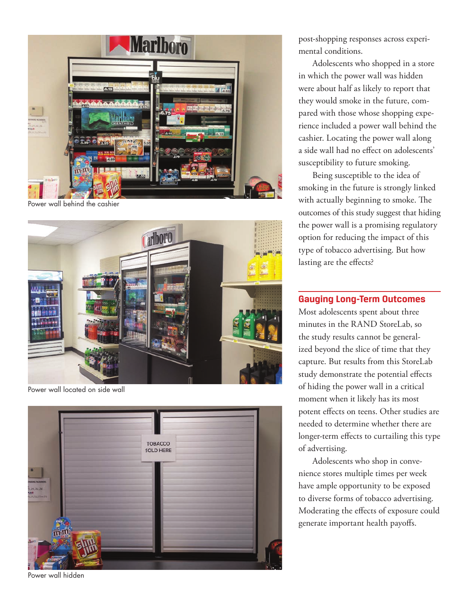

Power wall behind the cashier



Power wall located on side wall



Power wall hidden

post-shopping responses across experimental conditions.

Adolescents who shopped in a store in which the power wall was hidden were about half as likely to report that they would smoke in the future, compared with those whose shopping experience included a power wall behind the cashier. Locating the power wall along a side wall had no effect on adolescents' susceptibility to future smoking.

Being susceptible to the idea of smoking in the future is strongly linked with actually beginning to smoke. The outcomes of this study suggest that hiding the power wall is a promising regulatory option for reducing the impact of this type of tobacco advertising. But how lasting are the effects?

### **Gauging Long-Term Outcomes**

Most adolescents spent about three minutes in the RAND StoreLab, so the study results cannot be generalized beyond the slice of time that they capture. But results from this StoreLab study demonstrate the potential effects of hiding the power wall in a critical moment when it likely has its most potent effects on teens. Other studies are needed to determine whether there are longer-term effects to curtailing this type of advertising.

Adolescents who shop in convenience stores multiple times per week have ample opportunity to be exposed to diverse forms of tobacco advertising. Moderating the effects of exposure could generate important health payoffs.